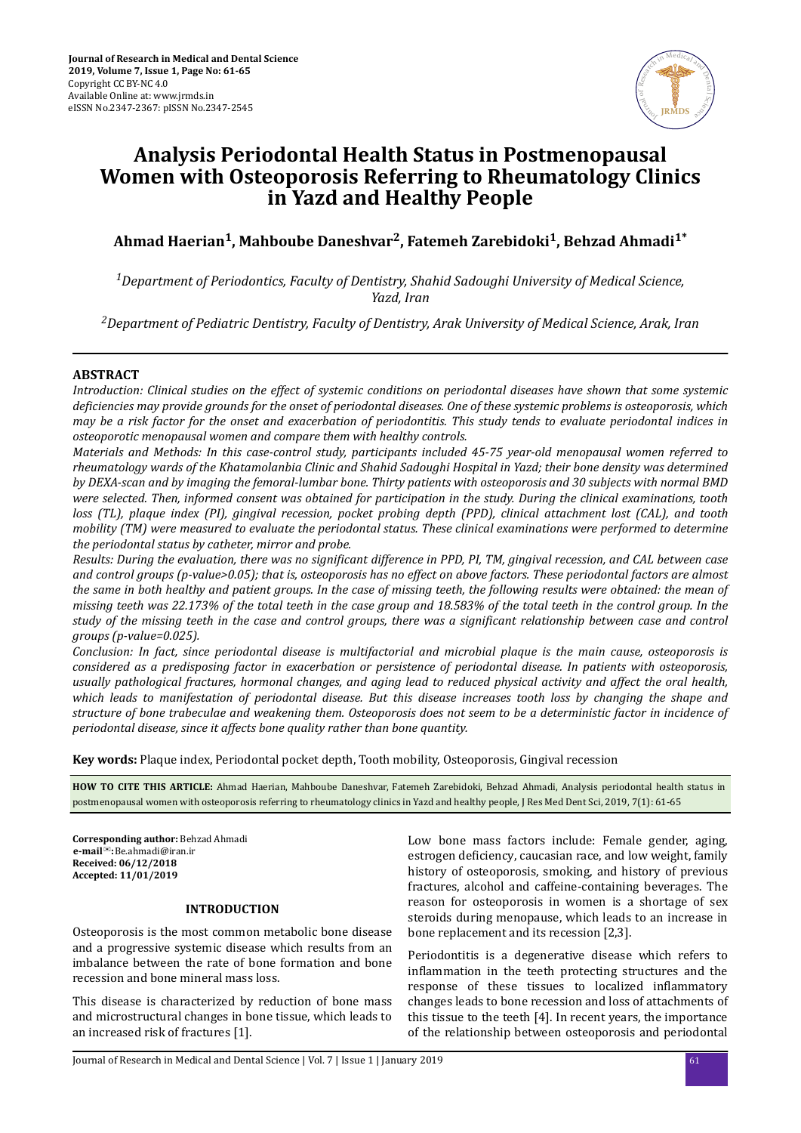

# **Analysis Periodontal Health Status in Postmenopausal Women with Osteoporosis Referring to Rheumatology Clinics in Yazd and Healthy People**

**Ahmad Haerian<sup>1</sup> , Mahboube Daneshvar<sup>2</sup> , Fatemeh Zarebidoki<sup>1</sup> , Behzad Ahmadi1\***

*<sup>1</sup>Department of Periodontics, Faculty of Dentistry, Shahid Sadoughi University of Medical Science, Yazd, Iran*

*<sup>2</sup>Department of Pediatric Dentistry, Faculty of Dentistry, Arak University of Medical Science, Arak, Iran*

# **ABSTRACT**

*Introduction: Clinical studies on the effect of systemic conditions on periodontal diseases have shown that some systemic deϔceces may provide grounds for the onset of periodontal diseases. One of these systemic problems is osteoporosis, which may be a risk factor for the onset and exacerbation of periodontitis. This study tends to evaluate periodontal indices in osteoporotic menopausal women and compare them with healthy controls.*

*Materials and Methods: In this case-control study, participants included 45-75 year-old menopausal women referred to rheumatology wards of the Khatamolanbia Clinic and Shahid Sadoughi Hospital in Yazd; their bone density was determined by DEXA-scan and by imaging the femoral-lumbar bone. Thirty patients with osteoporosis and 30 subjects with normal BMD were selected. Then, informed consent was obtained for participation in the study. During the clinical examinations, tooth loss (TL), plaque index (PI), gingival recession, pocket probing depth (PPD), clinical attachment lost (CAL), and tooth mobility (TM) were measured to evaluate the periodontal status. These clinical examinations were performed to determine the periodontal status by catheter, mirror and probe.*

*Results: During the evaluation, there was no significant difference in PPD, PI, TM, gingival recession, and CAL between case and control groups (p-value>0.05); that is, osteoporosis has no effect on above factors. These periodontal factors are almost the same in both healthy and patient groups. In the case of missing teeth, the following results were obtained: the mean of missing teeth was 22.173% of the total teeth in the case group and 18.583% of the total teeth in the control group. In the study of the missing teeth in the case and control groups, there was a significant relationship between case and control groups (p-value=0.025).*

*Conclusion: In fact, since periodontal disease is multifactorial and microbial plaque is the main cause, osteoporosis is considered as a predisposing factor in exacerbation or persistence of periodontal disease. In patients with osteoporosis, usually pathological fractures, hormonal changes, and aging lead to reduced physical activity and affect the oral health, which leads to manifestation of periodontal disease. But this disease increases tooth loss by changing the shape and structure of bone trabeculae and weakening them. Osteoporosis does not seem to be a deterministic factor in incidence of periodontal disease, since it affects bone quality rather than bone quantity.*

**Key words:** Plaque index, Periodontal pocket depth, Tooth mobility, Osteoporosis, Gingival recession

**HOW TO CITE THIS ARTICLE:** Ahmad Haerian, Mahboube Daneshvar, Fatemeh Zarebidoki, Behzad Ahmadi, Analysis periodontal health status in postmenopausal women with osteoporosis referring to rheumatology clinics in Yazd and healthy people, J Res Med Dent Sci, 2019, 7(1): 61-65

**Corresponding author:** Behzad Ahmadi **Received: 06/12/2018 Accepted: 11/01/2019** ✉**: e-mail** Be.ahmadi@iran.ir

#### **INTRODUCTION**

Osteoporosis is the most common metabolic bone disease and a progressive systemic disease which results from an imbalance between the rate of bone formation and bone recession and bone mineral mass loss.

This disease is characterized by reduction of bone mass and microstructural changes in bone tissue, which leads to an increased risk of fractures [1].

Low bone mass factors include: Female gender, aging, estrogen deficiency, caucasian race, and low weight, family history of osteoporosis, smoking, and history of previous fractures, alcohol and caffeine-containing beverages. The reason for osteoporosis in women is a shortage of sex steroids during menopause, which leads to an increase in bone replacement and its recession [2,3].

Periodontitis is a degenerative disease which refers to inflammation in the teeth protecting structures and the response of these tissues to localized inflammatory changes leads to bone recession and loss of attachments of this tissue to the teeth [4]. In recent years, the importance of the relationship between osteoporosis and periodontal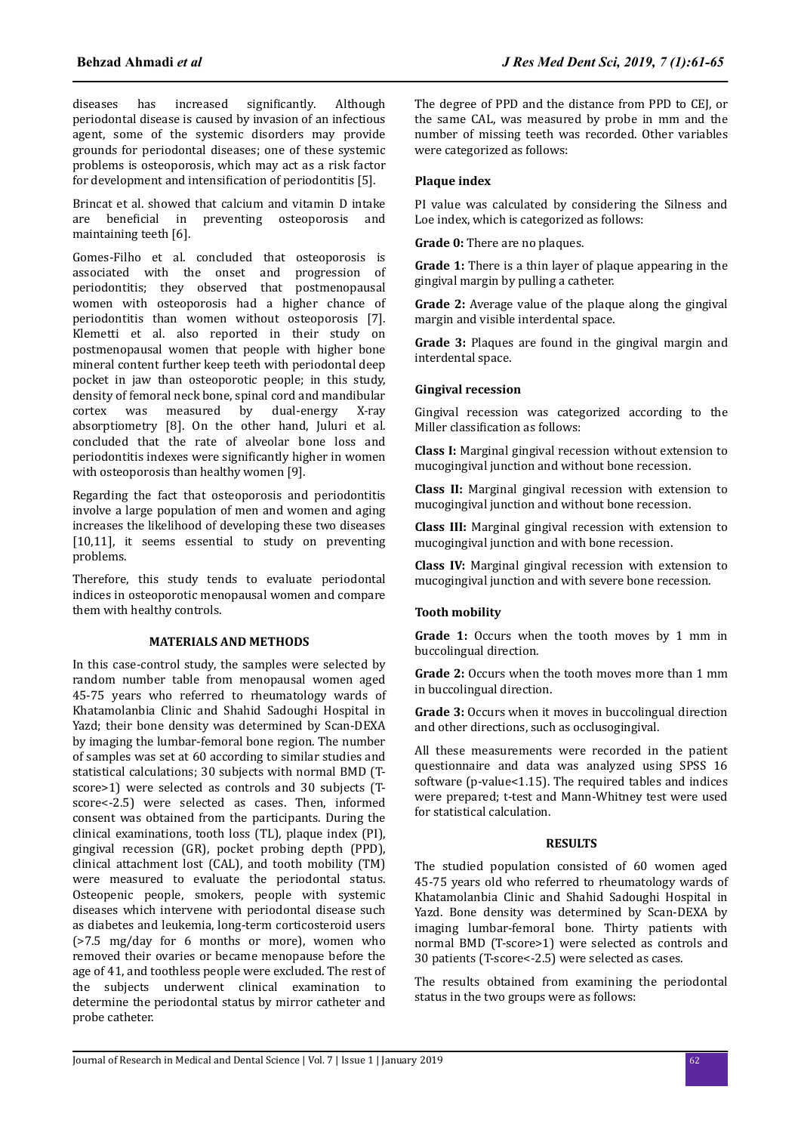diseases has increased significantly. Although periodontal disease is caused by invasion of an infectious agent, some of the systemic disorders may provide grounds for periodontal diseases; one of these systemic problems is osteoporosis, which may act as a risk factor for development and intensification of periodontitis [5].

Brincat et al. showed that calcium and vitamin D intake are beneficial in preventing osteoporosis and maintaining teeth [6].

Gomes-Filho et al. concluded that osteoporosis is associated with the onset and progression of periodontitis; they observed that postmenopausal women with osteoporosis had a higher chance of periodontitis than women without osteoporosis [7]. Klemetti et al. also reported in their study on postmenopausal women that people with higher bone mineral content further keep teeth with periodontal deep pocket in jaw than osteoporotic people; in this study, density of femoral neck bone, spinal cord and mandibular cortex was measured by dual-energy X-ray absorptiometry [8]. On the other hand, Juluri et al. concluded that the rate of alveolar bone loss and periodontitis indexes were significantly higher in women with osteoporosis than healthy women [9].

Regarding the fact that osteoporosis and periodontitis involve a large population of men and women and aging increases the likelihood of developing these two diseases [10,11], it seems essential to study on preventing problems.

Therefore, this study tends to evaluate periodontal indices in osteoporotic menopausal women and compare them with healthy controls.

## **MATERIALS AND METHODS**

In this case-control study, the samples were selected by random number table from menopausal women aged 45-75 years who referred to rheumatology wards of Khatamolanbia Clinic and Shahid Sadoughi Hospital in Yazd; their bone density was determined by Scan-DEXA by imaging the lumbar-femoral bone region. The number of samples was set at 60 according to similar studies and statistical calculations; 30 subjects with normal BMD (Tscore>1) were selected as controls and 30 subjects (Tscore<-2.5) were selected as cases. Then, informed consent was obtained from the participants. During the clinical examinations, tooth loss (TL), plaque index (PI), gingival recession (GR), pocket probing depth (PPD), clinical attachment lost (CAL), and tooth mobility (TM) were measured to evaluate the periodontal status. Osteopenic people, smokers, people with systemic diseases which intervene with periodontal disease such as diabetes and leukemia, long-term corticosteroid users (>7.5 mg/day for 6 months or more), women who removed their ovaries or became menopause before the age of 41, and toothless people were excluded. The rest of the subjects underwent clinical examination to determine the periodontal status by mirror catheter and probe catheter.

The degree of PPD and the distance from PPD to CEJ, or the same CAL, was measured by probe in mm and the number of missing teeth was recorded. Other variables were categorized as follows:

## **Plaque index**

PI value was calculated by considering the Silness and Loe index, which is categorized as follows:

**Grade 0:** There are no plaques.

**Grade 1:** There is a thin layer of plaque appearing in the gingival margin by pulling a catheter.

**Grade 2:** Average value of the plaque along the gingival margin and visible interdental space.

**Grade 3:** Plaques are found in the gingival margin and interdental space.

#### **Gingival recession**

Gingival recession was categorized according to the Miller classification as follows:

**Class I:** Marginal gingival recession without extension to mucogingival junction and without bone recession.

**Class II:** Marginal gingival recession with extension to mucogingival junction and without bone recession.

**Class III:** Marginal gingival recession with extension to mucogingival junction and with bone recession.

**Class IV:** Marginal gingival recession with extension to mucogingival junction and with severe bone recession.

# **Tooth mobility**

Grade 1: Occurs when the tooth moves by 1 mm in buccolingual direction.

**Grade 2:** Occurs when the tooth moves more than 1 mm in buccolingual direction.

**Grade 3:** Occurs when it moves in buccolingual direction and other directions, such as occlusogingival.

All these measurements were recorded in the patient questionnaire and data was analyzed using SPSS 16 software (p-value<1.15). The required tables and indices were prepared; t-test and Mann-Whitney test were used for statistical calculation.

## **RESULTS**

The studied population consisted of 60 women aged 45-75 years old who referred to rheumatology wards of Khatamolanbia Clinic and Shahid Sadoughi Hospital in Yazd. Bone density was determined by Scan-DEXA by imaging lumbar-femoral bone. Thirty patients with normal BMD (T-score>1) were selected as controls and 30 patients (T-score<-2.5) were selected as cases.

The results obtained from examining the periodontal status in the two groups were as follows: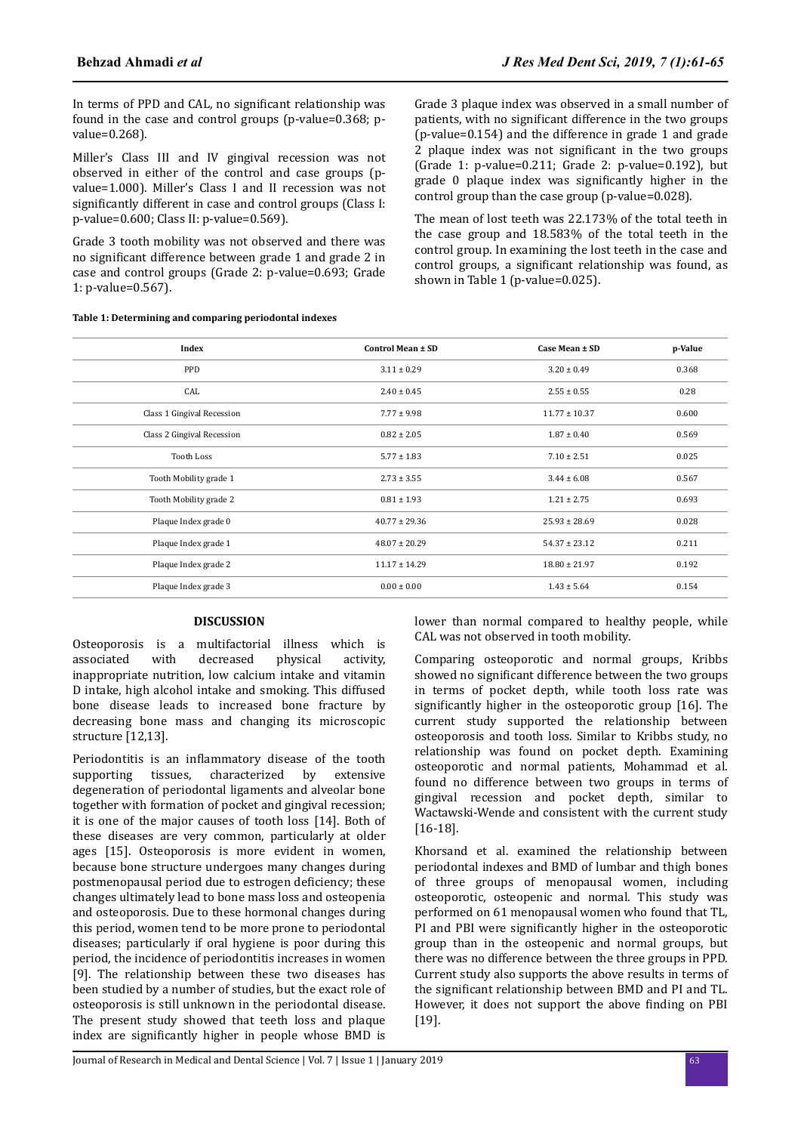In terms of PPD and CAL, no significant relationship was found in the case and control groups (p-value=0.368; pvalue=0.268).

Miller's Class III and IV gingival recession was not observed in either of the control and case groups (pvalue=1.000). Miller's Class I and II recession was not significantly different in case and control groups (Class I: p-value=0.600; Class II: p-value=0.569).

Grade 3 tooth mobility was not observed and there was no significant difference between grade 1 and grade 2 in case and control groups (Grade 2: p-value=0.693; Grade 1: p-value=0.567).

**Table 1: Determining and comparing periodontal indexes**

Grade 3 plaque index was observed in a small number of patients, with no significant difference in the two groups (p-value=0.154) and the difference in grade 1 and grade 2 plaque index was not significant in the two groups (Grade 1: p-value=0.211; Grade 2: p-value=0.192), but grade  $0$  plaque index was significantly higher in the control group than the case group (p-value=0.028).

The mean of lost teeth was 22.173% of the total teeth in the case group and 18.583% of the total teeth in the control group. In examining the lost teeth in the case and control groups, a significant relationship was found, as shown in Table 1 (p-value=0.025).

| Index                      | Control Mean ± SD | Case Mean ± SD    | p-Value |
|----------------------------|-------------------|-------------------|---------|
| <b>PPD</b>                 | $3.11 \pm 0.29$   | $3.20 \pm 0.49$   | 0.368   |
| CAL                        | $2.40 \pm 0.45$   | $2.55 \pm 0.55$   | 0.28    |
| Class 1 Gingival Recession | $7.77 \pm 9.98$   | $11.77 \pm 10.37$ | 0.600   |
| Class 2 Gingival Recession | $0.82 \pm 2.05$   | $1.87 \pm 0.40$   | 0.569   |
| <b>Tooth Loss</b>          | $5.77 \pm 1.83$   | $7.10 \pm 2.51$   | 0.025   |
| Tooth Mobility grade 1     | $2.73 \pm 3.55$   | $3.44 \pm 6.08$   | 0.567   |
| Tooth Mobility grade 2     | $0.81 \pm 1.93$   | $1.21 \pm 2.75$   | 0.693   |
| Plaque Index grade 0       | $40.77 \pm 29.36$ | $25.93 \pm 28.69$ | 0.028   |
| Plaque Index grade 1       | $48.07 \pm 20.29$ | $54.37 \pm 23.12$ | 0.211   |
| Plaque Index grade 2       | $11.17 \pm 14.29$ | $18.80 \pm 21.97$ | 0.192   |
| Plaque Index grade 3       | $0.00 \pm 0.00$   | $1.43 \pm 5.64$   | 0.154   |

# **DISCUSSION**

Osteoporosis is a multifactorial illness which is associated with decreased physical activity. associated with decreased physical activity, inappropriate nutrition, low calcium intake and vitamin D intake, high alcohol intake and smoking. This diffused bone disease leads to increased bone fracture by decreasing bone mass and changing its microscopic structure [12,13].

Periodontitis is an inflammatory disease of the tooth supporting tissues, characterized by extensive degeneration of periodontal ligaments and alveolar bone together with formation of pocket and gingival recession; it is one of the major causes of tooth loss [14]. Both of these diseases are very common, particularly at older ages [15]. Osteoporosis is more evident in women, because bone structure undergoes many changes during postmenopausal period due to estrogen deficiency; these changes ultimately lead to bone mass loss and osteopenia and osteoporosis. Due to these hormonal changes during this period, women tend to be more prone to periodontal diseases; particularly if oral hygiene is poor during this period, the incidence of periodontitis increases in women [9]. The relationship between these two diseases has been studied by a number of studies, but the exact role of osteoporosis is still unknown in the periodontal disease. The present study showed that teeth loss and plaque index are significantly higher in people whose BMD is

lower than normal compared to healthy people, while CAL was not observed in tooth mobility.

Comparing osteoporotic and normal groups, Kribbs showed no significant difference between the two groups in terms of pocket depth, while tooth loss rate was significantly higher in the osteoporotic group [16]. The current study supported the relationship between osteoporosis and tooth loss. Similar to Kribbs study, no relationship was found on pocket depth. Examining osteoporotic and normal patients, Mohammad et al. found no difference between two groups in terms of gingival recession and pocket depth, similar to Wactawski-Wende and consistent with the current study [16-18].

Khorsand et al. examined the relationship between periodontal indexes and BMD of lumbar and thigh bones of three groups of menopausal women, including osteoporotic, osteopenic and normal. This study was performed on 61 menopausal women who found that TL, PI and PBI were significantly higher in the osteoporotic group than in the osteopenic and normal groups, but there was no difference between the three groups in PPD. Current study also supports the above results in terms of the significant relationship between BMD and PI and TL. However, it does not support the above finding on PBI [19].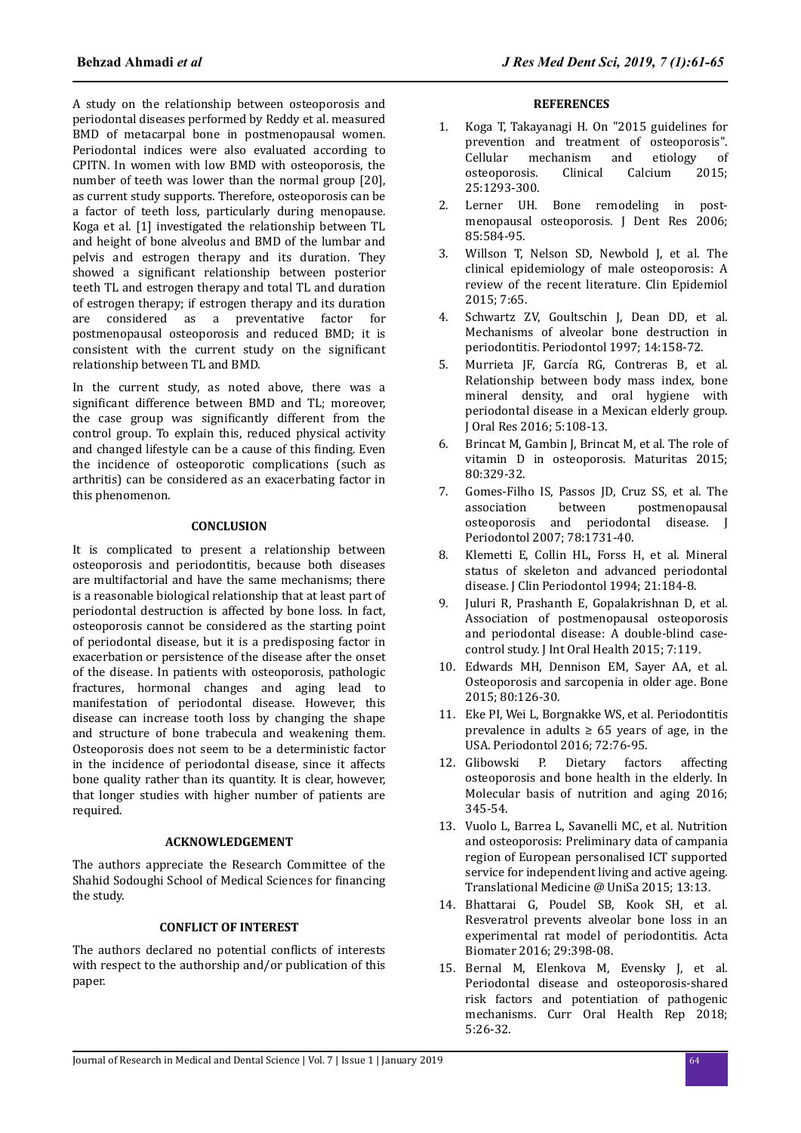A study on the relationship between osteoporosis and periodontal diseases performed by Reddy et al. measured BMD of metacarpal bone in postmenopausal women. Periodontal indices were also evaluated according to CPITN. In women with low BMD with osteoporosis, the number of teeth was lower than the normal group [20], as current study supports. Therefore, osteoporosis can be a factor of teeth loss, particularly during menopause. Koga et al. [1] investigated the relationship between TL and height of bone alveolus and BMD of the lumbar and pelvis and estrogen therapy and its duration. They showed a significant relationship between posterior teeth TL and estrogen therapy and total TL and duration of estrogen therapy; if estrogen therapy and its duration are considered as a preventative factor for postmenopausal osteoporosis and reduced BMD; it is  $\overline{\text{consistent}}$  with the current study on the significant relationship between TL and BMD.

In the current study, as noted above, there was a significant difference between BMD and TL; moreover, the case group was significantly different from the control group. To explain this, reduced physical activity and changed lifestyle can be a cause of this finding. Even the incidence of osteoporotic complications (such as arthritis) can be considered as an exacerbating factor in this phenomenon.

## **CONCLUSION**

It is complicated to present a relationship between osteoporosis and periodontitis, because both diseases are multifactorial and have the same mechanisms; there is a reasonable biological relationship that at least part of periodontal destruction is affected by bone loss. In fact, osteoporosis cannot be considered as the starting point of periodontal disease, but it is a predisposing factor in exacerbation or persistence of the disease after the onset of the disease. In patients with osteoporosis, pathologic fractures, hormonal changes and aging lead to manifestation of periodontal disease. However, this disease can increase tooth loss by changing the shape and structure of bone trabecula and weakening them. Osteoporosis does not seem to be a deterministic factor in the incidence of periodontal disease, since it affects bone quality rather than its quantity. It is clear, however, that longer studies with higher number of patients are required.

#### **ACKNOWLEDGEMENT**

The authors appreciate the Research Committee of the Shahid Sodoughi School of Medical Sciences for financing the study.

# **CONFLICT OF INTEREST**

The authors declared no potential conflicts of interests with respect to the authorship and/or publication of this paper.

#### **REFERENCES**

- 1. Koga T, Takayanagi H. On "2015 guidelines for prevention and treatment of osteoporosis". Cellular mechanism and etiology of osteoporosis. Clinical Calcium 2015; 25:1293-300.
- 2. Lerner UH. Bone remodeling in postmenopausal osteoporosis. J Dent Res 2006; 85:584-95.
- 3. Willson T, Nelson SD, Newbold J, et al. The clinical epidemiology of male osteoporosis: A review of the recent literature. Clin Epidemiol 2015; 7:65.
- 4. Schwartz ZV, Goultschin J, Dean DD, et al. Mechanisms of alveolar bone destruction in periodontitis. Periodontol 1997; 14:158-72.
- 5. Murrieta JF, García RG, Contreras B, et al. Relationship between body mass index, bone mineral density, and oral hygiene with periodontal disease in a Mexican elderly group. J Oral Res 2016; 5:108-13.
- 6. Brincat M, Gambin J, Brincat M, et al. The role of vitamin D in osteoporosis. Maturitas 2015; 80:329-32.
- 7. Gomes-Filho IS, Passos JD, Cruz SS, et al. The association between postmenopausal osteoporosis and periodontal disease. J Periodontol 2007; 78:1731-40.
- 8. Klemetti E, Collin HL, Forss H, et al. Mineral status of skeleton and advanced periodontal disease. J Clin Periodontol 1994; 21:184-8.
- 9. Juluri R, Prashanth E, Gopalakrishnan D, et al. Association of postmenopausal osteoporosis and periodontal disease: A double-blind casecontrol study. J Int Oral Health 2015; 7:119.
- 10. Edwards MH, Dennison EM, Sayer AA, et al. Osteoporosis and sarcopenia in older age. Bone 2015; 80:126-30.
- 11. Eke PI, Wei L, Borgnakke WS, et al. Periodontitis prevalence in adults  $\geq 65$  years of age, in the USA. Periodontol 2016; 72:76-95.
- 12. Glibowski P. Dietary factors affecting osteoporosis and bone health in the elderly. In Molecular basis of nutrition and aging 2016; 345-54.
- 13. Vuolo L, Barrea L, Savanelli MC, et al. Nutrition and osteoporosis: Preliminary data of campania region of European personalised ICT supported service for independent living and active ageing. Translational Medicine @ UniSa 2015; 13:13.
- 14. Bhattarai G, Poudel SB, Kook SH, et al. Resveratrol prevents alveolar bone loss in an experimental rat model of periodontitis. Acta Biomater 2016; 29:398-08.
- 15. Bernal M, Elenkova M, Evensky J, et al. Periodontal disease and osteoporosis-shared risk factors and potentiation of pathogenic mechanisms. Curr Oral Health Rep 2018; 5:26-32.